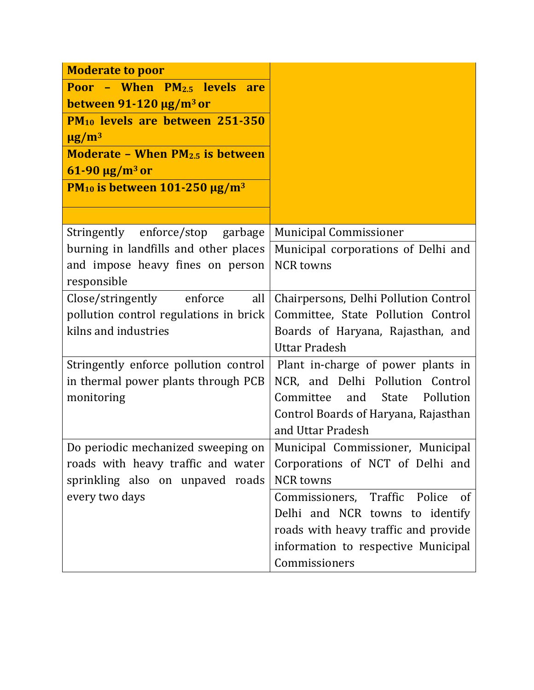| <b>Moderate to poor</b>                                    |                                                |
|------------------------------------------------------------|------------------------------------------------|
| Poor - When PM <sub>2.5</sub> levels are                   |                                                |
| between $91-120 \mu g/m^3$ or                              |                                                |
| PM <sub>10</sub> levels are between 251-350                |                                                |
| $\mu$ g/m <sup>3</sup>                                     |                                                |
| <b>Moderate - When PM<sub>2.5</sub></b> is between         |                                                |
| $61-90 \mu g/m^3$ or                                       |                                                |
| PM <sub>10</sub> is between 101-250 $\mu$ g/m <sup>3</sup> |                                                |
|                                                            |                                                |
| Stringently enforce/stop garbage                           | <b>Municipal Commissioner</b>                  |
| burning in landfills and other places                      | Municipal corporations of Delhi and            |
| and impose heavy fines on person                           | <b>NCR</b> towns                               |
| responsible                                                |                                                |
| Close/stringently enforce<br>all                           | Chairpersons, Delhi Pollution Control          |
| pollution control regulations in brick                     | Committee, State Pollution Control             |
| kilns and industries                                       | Boards of Haryana, Rajasthan, and              |
|                                                            | <b>Uttar Pradesh</b>                           |
| Stringently enforce pollution control                      | Plant in-charge of power plants in             |
| in thermal power plants through PCB                        | NCR, and Delhi Pollution Control               |
| monitoring                                                 | Pollution<br>Committee<br>and<br>State         |
|                                                            | Control Boards of Haryana, Rajasthan           |
|                                                            | and Uttar Pradesh                              |
| Do periodic mechanized sweeping on                         | Municipal Commissioner, Municipal              |
| roads with heavy traffic and water                         | Corporations of NCT of Delhi and               |
| sprinkling also on unpaved roads                           | <b>NCR</b> towns                               |
| every two days                                             | Commissioners, Traffic Police<br><sub>of</sub> |
|                                                            | Delhi and NCR towns to identify                |
|                                                            | roads with heavy traffic and provide           |
|                                                            | information to respective Municipal            |
|                                                            | Commissioners                                  |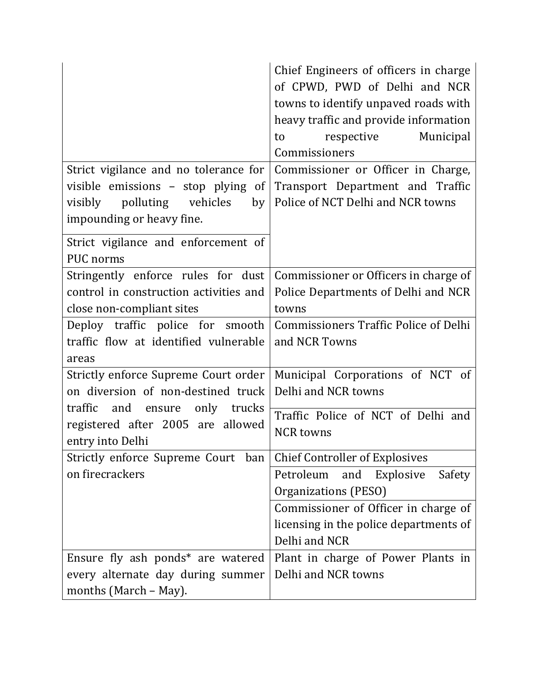|                                                               | Chief Engineers of officers in charge<br>of CPWD, PWD of Delhi and NCR<br>towns to identify unpaved roads with<br>heavy traffic and provide information<br>respective<br>Municipal<br>to<br>Commissioners |
|---------------------------------------------------------------|-----------------------------------------------------------------------------------------------------------------------------------------------------------------------------------------------------------|
| Strict vigilance and no tolerance for                         | Commissioner or Officer in Charge,                                                                                                                                                                        |
| visible emissions - stop plying of                            | Transport Department and Traffic                                                                                                                                                                          |
| visibly polluting vehicles<br>by<br>impounding or heavy fine. | Police of NCT Delhi and NCR towns                                                                                                                                                                         |
| Strict vigilance and enforcement of<br><b>PUC</b> norms       |                                                                                                                                                                                                           |
| Stringently enforce rules for dust                            | Commissioner or Officers in charge of                                                                                                                                                                     |
| control in construction activities and                        | Police Departments of Delhi and NCR                                                                                                                                                                       |
| close non-compliant sites                                     | towns                                                                                                                                                                                                     |
| Deploy traffic police for smooth                              | <b>Commissioners Traffic Police of Delhi</b>                                                                                                                                                              |
| traffic flow at identified vulnerable<br>areas                | and NCR Towns                                                                                                                                                                                             |
| Strictly enforce Supreme Court order                          | Municipal Corporations of NCT of                                                                                                                                                                          |
| on diversion of non-destined truck                            | Delhi and NCR towns                                                                                                                                                                                       |
| traffic<br>and ensure<br>only trucks                          | Traffic Police of NCT of Delhi and                                                                                                                                                                        |
| registered after 2005 are allowed<br>entry into Delhi         | <b>NCR</b> towns                                                                                                                                                                                          |
| Strictly enforce Supreme Court ban                            | <b>Chief Controller of Explosives</b>                                                                                                                                                                     |
| on firecrackers                                               | Petroleum<br>and<br>Explosive<br>Safety                                                                                                                                                                   |
|                                                               | Organizations (PESO)                                                                                                                                                                                      |
|                                                               | Commissioner of Officer in charge of                                                                                                                                                                      |
|                                                               | licensing in the police departments of                                                                                                                                                                    |
|                                                               | Delhi and NCR                                                                                                                                                                                             |
| Ensure fly ash ponds* are watered                             | Plant in charge of Power Plants in                                                                                                                                                                        |
| every alternate day during summer                             | Delhi and NCR towns                                                                                                                                                                                       |
| months (March – May).                                         |                                                                                                                                                                                                           |